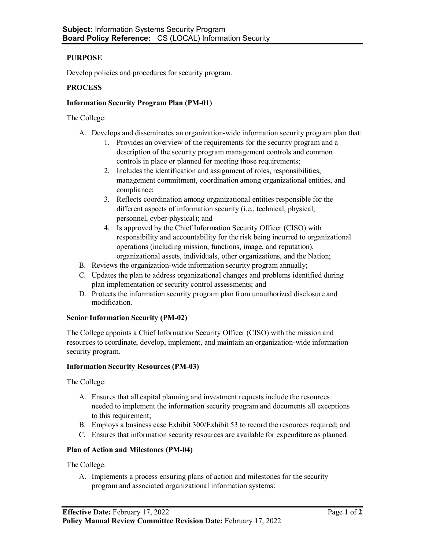# **PURPOSE**

Develop policies and procedures for security program.

## **PROCESS**

### **Information Security Program Plan (PM-01)**

The College:

- A. Develops and disseminates an organization-wide information security program plan that:
	- 1. Provides an overview of the requirements for the security program and a description of the security program management controls and common controls in place or planned for meeting those requirements;
	- 2. Includes the identification and assignment of roles, responsibilities, management commitment, coordination among organizational entities, and compliance;
	- 3. Reflects coordination among organizational entities responsible for the different aspects of information security (i.e., technical, physical, personnel, cyber-physical); and
	- 4. Is approved by the Chief Information Security Officer (CISO) with responsibility and accountability for the risk being incurred to organizational operations (including mission, functions, image, and reputation), organizational assets, individuals, other organizations, and the Nation;
- B. Reviews the organization-wide information security program annually;
- C. Updates the plan to address organizational changes and problems identified during plan implementation or security control assessments; and
- D. Protects the information security program plan from unauthorized disclosure and modification.

#### **Senior Information Security (PM-02)**

The College appoints a Chief Information Security Officer (CISO) with the mission and resources to coordinate, develop, implement, and maintain an organization-wide information security program.

#### **Information Security Resources (PM-03)**

The College:

- A. Ensures that all capital planning and investment requests include the resources needed to implement the information security program and documents all exceptions to this requirement;
- B. Employs a business case Exhibit 300/Exhibit 53 to record the resources required; and
- C. Ensures that information security resources are available for expenditure as planned.

## **Plan of Action and Milestones (PM-04)**

The College:

A. Implements a process ensuring plans of action and milestones for the security program and associated organizational information systems: